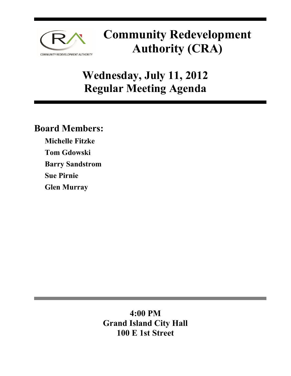

# **Community Redevelopment Authority (CRA)**

# **Wednesday, July 11, 2012 Regular Meeting Agenda**

# **Board Members:**

**Michelle Fitzke Tom Gdowski Barry Sandstrom Sue Pirnie Glen Murray** 

# **4:00 PM Grand Island City Hall 100 E 1st Street**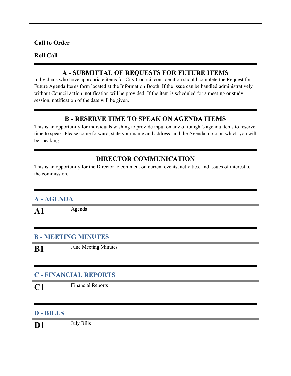#### **Call to Order**

#### **Roll Call**

#### **A - SUBMITTAL OF REQUESTS FOR FUTURE ITEMS**

Individuals who have appropriate items for City Council consideration should complete the Request for Future Agenda Items form located at the Information Booth. If the issue can be handled administratively without Council action, notification will be provided. If the item is scheduled for a meeting or study session, notification of the date will be given.

#### **B - RESERVE TIME TO SPEAK ON AGENDA ITEMS**

This is an opportunity for individuals wishing to provide input on any of tonight's agenda items to reserve time to speak. Please come forward, state your name and address, and the Agenda topic on which you will be speaking.

## **DIRECTOR COMMUNICATION**

This is an opportunity for the Director to comment on current events, activities, and issues of interest to the commission.

#### **A - AGENDA**

A1 Agenda

### **B - MEETING MINUTES**

**B1** June Meeting Minutes

## **C - FINANCIAL REPORTS**

**C1** Financial Reports

#### **D - BILLS**

**D1** July Bills